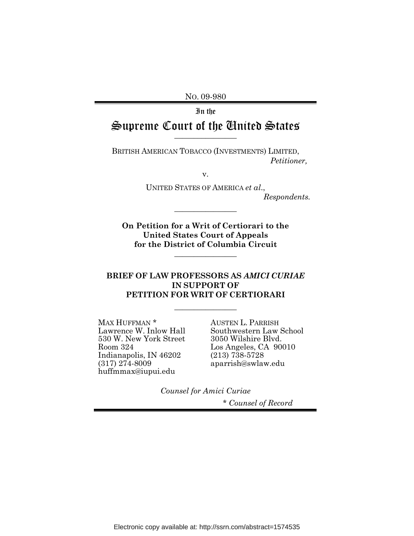NO. 09-980

## In the

## Supreme Court of the United States  $\frac{1}{2}$  , where  $\frac{1}{2}$

BRITISH AMERICAN TOBACCO (INVESTMENTS) LIMITED, Petitioner,

v.

UNITED STATES OF AMERICA et al., Respondents.

On Petition for a Writ of Certiorari to the United States Court of Appeals for the District of Columbia Circuit

 $\overline{\phantom{a}}$  , where  $\overline{\phantom{a}}$ 

 $\overline{\phantom{a}}$  , where  $\overline{\phantom{a}}$ 

#### BRIEF OF LAW PROFESSORS AS AMICI CURIAE IN SUPPORT OF PETITION FOR WRIT OF CERTIORARI

 $\overline{\phantom{a}}$  , where  $\overline{\phantom{a}}$  , where  $\overline{\phantom{a}}$ 

MAX HUFFMAN<sup>\*</sup> Lawrence W. Inlow Hall 530 W. New York Street Room 324 Indianapolis, IN 46202 (317) 274-8009 huffmmax@iupui.edu

AUSTEN L. PARRISH Southwestern Law School 3050 Wilshire Blvd. Los Angeles, CA 90010 (213) 738-5728 aparrish@swlaw.edu

Counsel for Amici Curiae

\* Counsel of Record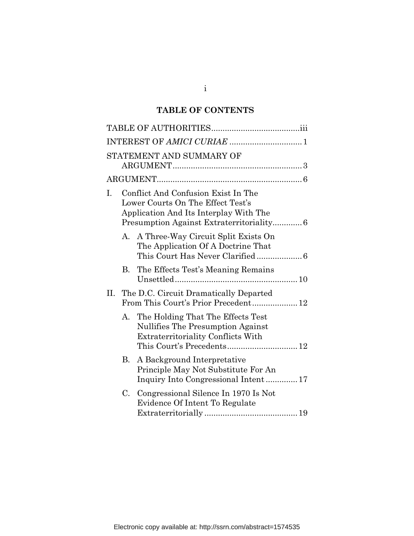## TABLE OF CONTENTS

|    | STATEMENT AND SUMMARY OF                                                                                                  |  |  |
|----|---------------------------------------------------------------------------------------------------------------------------|--|--|
|    |                                                                                                                           |  |  |
| L. | Conflict And Confusion Exist In The<br>Lower Courts On The Effect Test's<br>Application And Its Interplay With The        |  |  |
|    | A. A Three-Way Circuit Split Exists On<br>The Application Of A Doctrine That                                              |  |  |
| В. | The Effects Test's Meaning Remains                                                                                        |  |  |
| П. | The D.C. Circuit Dramatically Departed<br>From This Court's Prior Precedent 12                                            |  |  |
|    | The Holding That The Effects Test<br>А.<br>Nullifies The Presumption Against<br><b>Extraterritoriality Conflicts With</b> |  |  |
|    | A Background Interpretative<br>В.<br>Principle May Not Substitute For An<br>Inquiry Into Congressional Intent 17          |  |  |
|    | Congressional Silence In 1970 Is Not<br>C.<br>Evidence Of Intent To Regulate                                              |  |  |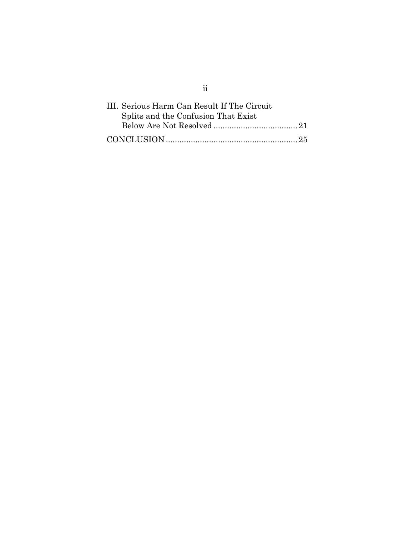| III. Serious Harm Can Result If The Circuit |
|---------------------------------------------|
| Splits and the Confusion That Exist         |
|                                             |
|                                             |

ii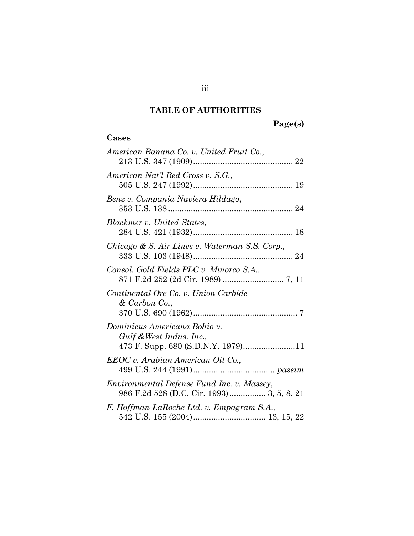## TABLE OF AUTHORITIES

Page(s)

## Cases

iii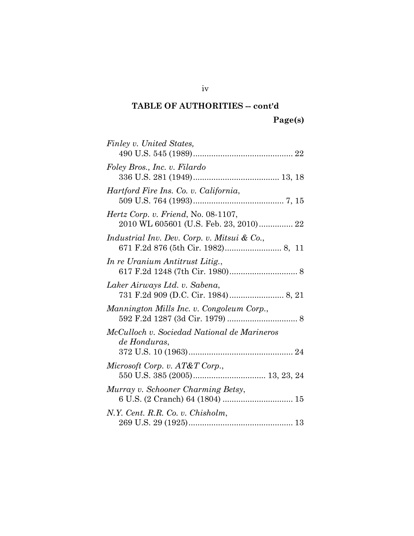## TABLE OF AUTHORITIES -- cont'd

Page(s)

| Finley v. United States,                                                      |
|-------------------------------------------------------------------------------|
| Foley Bros., Inc. v. Filardo                                                  |
| Hartford Fire Ins. Co. v. California,                                         |
| Hertz Corp. v. Friend, No. 08-1107,<br>2010 WL 605601 (U.S. Feb. 23, 2010) 22 |
| Industrial Inv. Dev. Corp. v. Mitsui & Co.,                                   |
| In re Uranium Antitrust Litig.,                                               |
| Laker Airways Ltd. v. Sabena,                                                 |
| Mannington Mills Inc. v. Congoleum Corp.,                                     |
| McCulloch v. Sociedad National de Marineros<br>de Honduras,                   |
| Microsoft Corp. v. AT&T Corp.,                                                |
| Murray v. Schooner Charming Betsy,                                            |
| N.Y. Cent. R.R. Co. v. Chisholm,                                              |

iv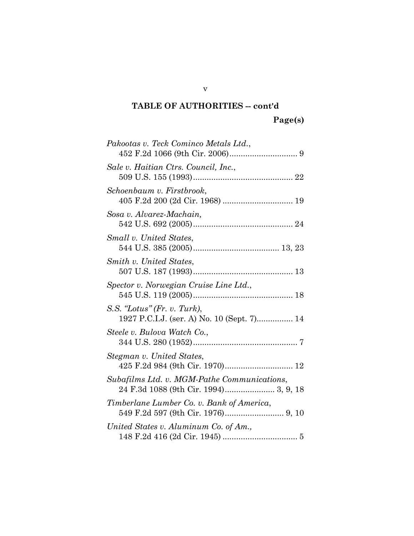## TABLE OF AUTHORITIES -- cont'd

Page(s)

| Pakootas v. Teck Cominco Metals Ltd.,                                                |
|--------------------------------------------------------------------------------------|
| Sale v. Haitian Ctrs. Council, Inc.,                                                 |
| Schoenbaum v. Firstbrook,                                                            |
| Sosa v. Alvarez-Machain,                                                             |
| Small v. United States,                                                              |
| Smith v. United States,                                                              |
| Spector v. Norwegian Cruise Line Ltd.,                                               |
| $S.S.$ "Lotus" (Fr. v. Turk),<br>1927 P.C.I.J. (ser. A) No. 10 (Sept. 7) 14          |
| Steele v. Bulova Watch Co.,                                                          |
| Stegman v. United States,                                                            |
| Subafilms Ltd. v. MGM-Pathe Communications,<br>24 F.3d 1088 (9th Cir. 1994) 3, 9, 18 |
| Timberlane Lumber Co. v. Bank of America,                                            |
| United States v. Aluminum Co. of Am.,                                                |

v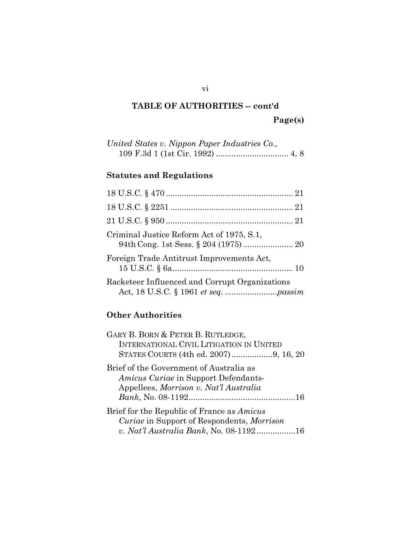## TABLE OF AUTHORITIES -- cont'd Page(s)

| United States v. Nippon Paper Industries Co., |  |  |
|-----------------------------------------------|--|--|
|                                               |  |  |

## Statutes and Regulations

| Criminal Justice Reform Act of 1975, S.1,      |
|------------------------------------------------|
| Foreign Trade Antitrust Improvements Act,      |
| Racketeer Influenced and Corrupt Organizations |

## Other Authorities

| GARY B. BORN & PETER B. RUTLEDGE,<br><b>INTERNATIONAL CIVIL LITIGATION IN UNITED</b>                                               |
|------------------------------------------------------------------------------------------------------------------------------------|
| Brief of the Government of Australia as<br>Amicus Curiae in Support Defendants-<br>Appellees, Morrison v. Nat'l Australia          |
| Brief for the Republic of France as Amicus<br>Curiae in Support of Respondents, Morrison<br>v. Nat'l Australia Bank, No. 08-119216 |

vi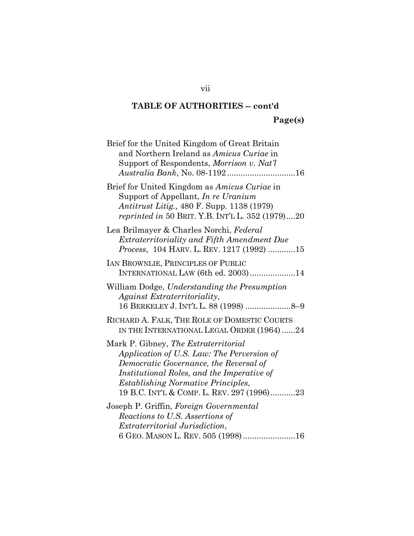# TABLE OF AUTHORITIES -- cont'd

Page(s)

| Brief for the United Kingdom of Great Britain<br>and Northern Ireland as Amicus Curiae in<br>Support of Respondents, Morrison v. Nat'l                                                                                                                                |
|-----------------------------------------------------------------------------------------------------------------------------------------------------------------------------------------------------------------------------------------------------------------------|
| Brief for United Kingdom as Amicus Curiae in<br>Support of Appellant, In re Uranium<br>Antitrust Litig., 480 F. Supp. 1138 (1979)<br>reprinted in 50 BRIT. Y.B. INT'L L. 352 (1979)20                                                                                 |
| Lea Brilmayer & Charles Norchi, Federal<br>Extraterritoriality and Fifth Amendment Due<br>Process, 104 HARV. L. REV. 1217 (1992) 15                                                                                                                                   |
| IAN BROWNLIE, PRINCIPLES OF PUBLIC<br>INTERNATIONAL LAW (6th ed. 2003)14                                                                                                                                                                                              |
| William Dodge, Understanding the Presumption<br>Against Extraterritoriality,<br>16 BERKELEY J. INT'L L. 88 (1998) 8-9                                                                                                                                                 |
| RICHARD A. FALK, THE ROLE OF DOMESTIC COURTS<br>IN THE INTERNATIONAL LEGAL ORDER (1964) 24                                                                                                                                                                            |
| Mark P. Gibney, The Extraterritorial<br>Application of U.S. Law: The Perversion of<br>Democratic Governance, the Reversal of<br>Institutional Roles, and the Imperative of<br><i>Establishing Normative Principles,</i><br>19 B.C. INT'L & COMP. L. REV. 297 (1996)23 |
| Joseph P. Griffin, Foreign Governmental<br>Reactions to U.S. Assertions of<br><i>Extraterritorial Jurisdiction,</i><br>6 GEO. MASON L. REV. 505 (1998)16                                                                                                              |

vii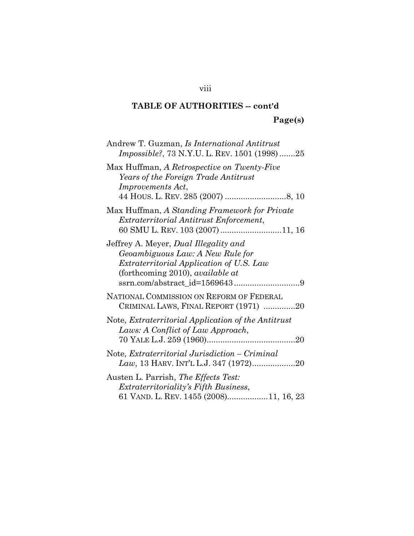## TABLE OF AUTHORITIES -- cont'd Page(s)

## Andrew T. Guzman, Is International Antitrust Impossible?, 73 N.Y.U. L. REV. 1501 (1998) .......25 Max Huffman, A Retrospective on Twenty-Five Years of the Foreign Trade Antitrust Improvements Act, 44 HOUS. L. REV. 285 (2007) ........................... 8, 10 Max Huffman, A Standing Framework for Private Extraterritorial Antitrust Enforcement, 60 SMU L. REV. 103 (2007) ........................... 11, 16 Jeffrey A. Meyer, Dual Illegality and Geoambiguous Law: A New Rule for Extraterritorial Application of U.S. Law (forthcoming 2010), available at ssrn.com/abstract\_id=1569643 .............................9 NATIONAL COMMISSION ON REFORM OF FEDERAL CRIMINAL LAWS, FINAL REPORT (1971) ..............20 Note, Extraterritorial Application of the Antitrust Laws: A Conflict of Law Approach, 70 YALE L.J. 259 (1960) .......................................20 Note, Extraterritorial Jurisdiction – Criminal Law, 13 HARV. INT'L L.J. 347 (1972)......................20 Austen L. Parrish, The Effects Test: Extraterritoriality's Fifth Business,

61 VAND. L. REV. 1455 (2008).................. 11, 16, 23

#### viii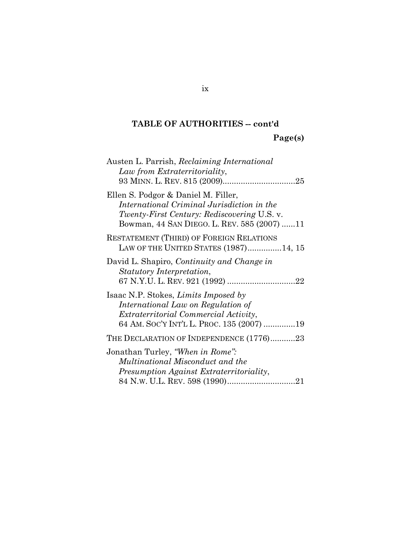## TABLE OF AUTHORITIES -- cont'd

| Page(s) |
|---------|
|         |

| Austen L. Parrish, Reclaiming International<br>Law from Extraterritoriality,                                                                                                           |
|----------------------------------------------------------------------------------------------------------------------------------------------------------------------------------------|
| Ellen S. Podgor & Daniel M. Filler,<br>International Criminal Jurisdiction in the<br><i>Twenty-First Century: Rediscovering U.S. v.</i><br>Bowman, 44 SAN DIEGO. L. REV. 585 (2007) 11 |
| <b>RESTATEMENT (THIRD) OF FOREIGN RELATIONS</b><br>LAW OF THE UNITED STATES (1987)14, 15                                                                                               |
| David L. Shapiro, Continuity and Change in<br>Statutory Interpretation,                                                                                                                |
| Isaac N.P. Stokes, Limits Imposed by<br>International Law on Regulation of<br>Extraterritorial Commercial Activity,<br>64 AM. SOC'Y INT'L L. PROC. 135 (2007) 19                       |
| THE DECLARATION OF INDEPENDENCE (1776)23                                                                                                                                               |
| Jonathan Turley, "When in Rome":<br>Multinational Misconduct and the<br>Presumption Against Extraterritoriality,                                                                       |
|                                                                                                                                                                                        |

ix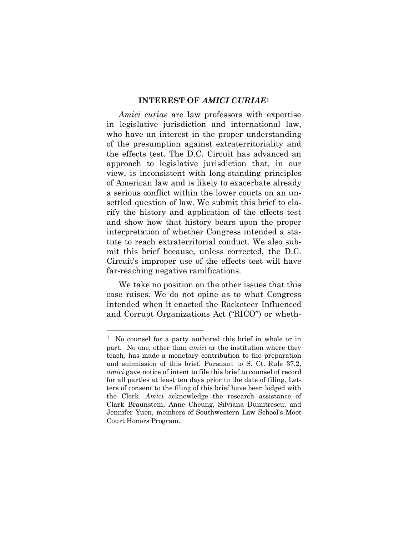#### INTEREST OF AMICI CURIAE<sup>1</sup>

Amici curiae are law professors with expertise in legislative jurisdiction and international law, who have an interest in the proper understanding of the presumption against extraterritoriality and the effects test. The D.C. Circuit has advanced an approach to legislative jurisdiction that, in our view, is inconsistent with long-standing principles of American law and is likely to exacerbate already a serious conflict within the lower courts on an unsettled question of law. We submit this brief to clarify the history and application of the effects test and show how that history bears upon the proper interpretation of whether Congress intended a statute to reach extraterritorial conduct. We also submit this brief because, unless corrected, the D.C. Circuit's improper use of the effects test will have far-reaching negative ramifications.

We take no position on the other issues that this case raises. We do not opine as to what Congress intended when it enacted the Racketeer Influenced and Corrupt Organizations Act ("RICO") or wheth-

<sup>1</sup> No counsel for a party authored this brief in whole or in part. No one, other than amici or the institution where they teach, has made a monetary contribution to the preparation and submission of this brief. Pursuant to S. Ct. Rule 37.2, amici gave notice of intent to file this brief to counsel of record for all parties at least ten days prior to the date of filing. Letters of consent to the filing of this brief have been lodged with the Clerk. Amici acknowledge the research assistance of Clark Braunstein, Anne Cheung, Silviana Dumitrescu, and Jennifer Yuen, members of Southwestern Law School's Moot Court Honors Program.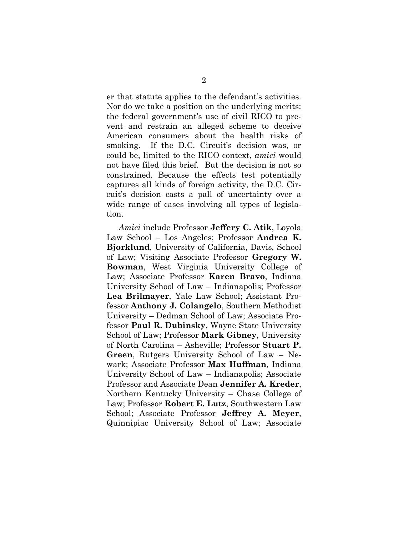er that statute applies to the defendant's activities. Nor do we take a position on the underlying merits: the federal government's use of civil RICO to prevent and restrain an alleged scheme to deceive American consumers about the health risks of smoking. If the D.C. Circuit's decision was, or could be, limited to the RICO context, amici would not have filed this brief. But the decision is not so constrained. Because the effects test potentially captures all kinds of foreign activity, the D.C. Circuit's decision casts a pall of uncertainty over a wide range of cases involving all types of legislation.

Amici include Professor Jeffery C. Atik, Loyola Law School – Los Angeles; Professor Andrea K. Bjorklund, University of California, Davis, School of Law; Visiting Associate Professor Gregory W. Bowman, West Virginia University College of Law; Associate Professor Karen Bravo, Indiana University School of Law – Indianapolis; Professor Lea Brilmayer, Yale Law School; Assistant Professor Anthony J. Colangelo, Southern Methodist University – Dedman School of Law; Associate Professor Paul R. Dubinsky, Wayne State University School of Law; Professor Mark Gibney, University of North Carolina – Asheville; Professor Stuart P. Green, Rutgers University School of Law – Newark; Associate Professor Max Huffman, Indiana University School of Law – Indianapolis; Associate Professor and Associate Dean Jennifer A. Kreder, Northern Kentucky University – Chase College of Law; Professor Robert E. Lutz, Southwestern Law School; Associate Professor Jeffrey A. Meyer, Quinnipiac University School of Law; Associate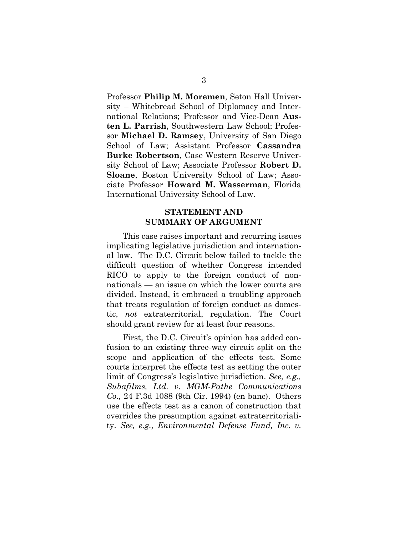Professor Philip M. Moremen, Seton Hall University – Whitebread School of Diplomacy and International Relations; Professor and Vice-Dean Austen L. Parrish, Southwestern Law School; Professor Michael D. Ramsey, University of San Diego School of Law; Assistant Professor Cassandra Burke Robertson, Case Western Reserve University School of Law; Associate Professor Robert D. Sloane, Boston University School of Law; Associate Professor Howard M. Wasserman, Florida International University School of Law.

#### STATEMENT AND SUMMARY OF ARGUMENT

This case raises important and recurring issues implicating legislative jurisdiction and international law. The D.C. Circuit below failed to tackle the difficult question of whether Congress intended RICO to apply to the foreign conduct of nonnationals — an issue on which the lower courts are divided. Instead, it embraced a troubling approach that treats regulation of foreign conduct as domestic, not extraterritorial, regulation. The Court should grant review for at least four reasons.

First, the D.C. Circuit's opinion has added confusion to an existing three-way circuit split on the scope and application of the effects test. Some courts interpret the effects test as setting the outer limit of Congress's legislative jurisdiction. See, e.g., Subafilms, Ltd. v. MGM-Pathe Communications Co., 24 F.3d 1088 (9th Cir. 1994) (en banc). Others use the effects test as a canon of construction that overrides the presumption against extraterritoriality. See, e.g., Environmental Defense Fund, Inc. v.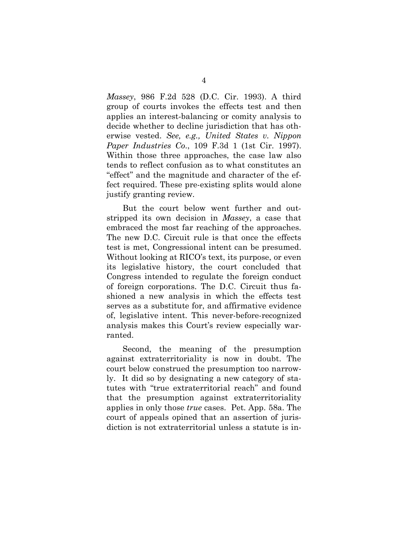Massey, 986 F.2d 528 (D.C. Cir. 1993). A third group of courts invokes the effects test and then applies an interest-balancing or comity analysis to decide whether to decline jurisdiction that has otherwise vested. See, e.g., United States v. Nippon Paper Industries Co., 109 F.3d 1 (1st Cir. 1997). Within those three approaches, the case law also tends to reflect confusion as to what constitutes an "effect" and the magnitude and character of the effect required. These pre-existing splits would alone justify granting review.

But the court below went further and outstripped its own decision in Massey, a case that embraced the most far reaching of the approaches. The new D.C. Circuit rule is that once the effects test is met, Congressional intent can be presumed. Without looking at RICO's text, its purpose, or even its legislative history, the court concluded that Congress intended to regulate the foreign conduct of foreign corporations. The D.C. Circuit thus fashioned a new analysis in which the effects test serves as a substitute for, and affirmative evidence of, legislative intent. This never-before-recognized analysis makes this Court's review especially warranted.

Second, the meaning of the presumption against extraterritoriality is now in doubt. The court below construed the presumption too narrowly. It did so by designating a new category of statutes with "true extraterritorial reach" and found that the presumption against extraterritoriality applies in only those true cases. Pet. App. 58a. The court of appeals opined that an assertion of jurisdiction is not extraterritorial unless a statute is in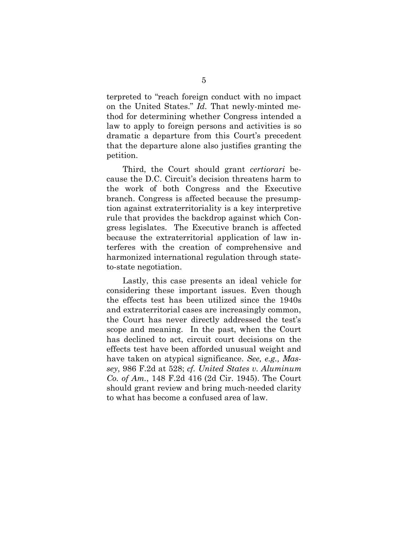terpreted to "reach foreign conduct with no impact on the United States." Id. That newly-minted method for determining whether Congress intended a law to apply to foreign persons and activities is so dramatic a departure from this Court's precedent that the departure alone also justifies granting the petition.

Third, the Court should grant *certiorari* because the D.C. Circuit's decision threatens harm to the work of both Congress and the Executive branch. Congress is affected because the presumption against extraterritoriality is a key interpretive rule that provides the backdrop against which Congress legislates. The Executive branch is affected because the extraterritorial application of law interferes with the creation of comprehensive and harmonized international regulation through stateto-state negotiation.

Lastly, this case presents an ideal vehicle for considering these important issues. Even though the effects test has been utilized since the 1940s and extraterritorial cases are increasingly common, the Court has never directly addressed the test's scope and meaning. In the past, when the Court has declined to act, circuit court decisions on the effects test have been afforded unusual weight and have taken on atypical significance. See, e.g., Massey, 986 F.2d at 528; cf. United States v. Aluminum Co. of Am., 148 F.2d 416 (2d Cir. 1945). The Court should grant review and bring much-needed clarity to what has become a confused area of law.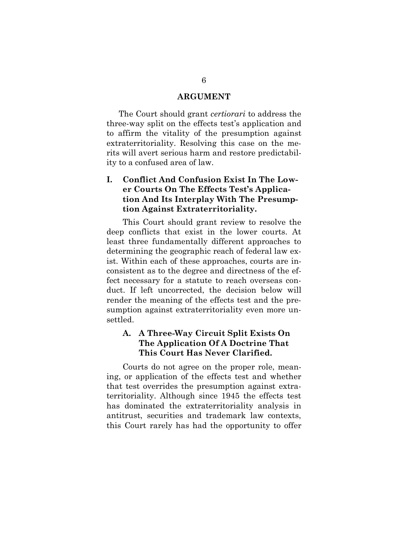#### ARGUMENT

The Court should grant certiorari to address the three-way split on the effects test's application and to affirm the vitality of the presumption against extraterritoriality. Resolving this case on the merits will avert serious harm and restore predictability to a confused area of law.

## I. Conflict And Confusion Exist In The Lower Courts On The Effects Test's Application And Its Interplay With The Presumption Against Extraterritoriality.

This Court should grant review to resolve the deep conflicts that exist in the lower courts. At least three fundamentally different approaches to determining the geographic reach of federal law exist. Within each of these approaches, courts are inconsistent as to the degree and directness of the effect necessary for a statute to reach overseas conduct. If left uncorrected, the decision below will render the meaning of the effects test and the presumption against extraterritoriality even more unsettled.

#### A. A Three-Way Circuit Split Exists On The Application Of A Doctrine That This Court Has Never Clarified.

Courts do not agree on the proper role, meaning, or application of the effects test and whether that test overrides the presumption against extraterritoriality. Although since 1945 the effects test has dominated the extraterritoriality analysis in antitrust, securities and trademark law contexts, this Court rarely has had the opportunity to offer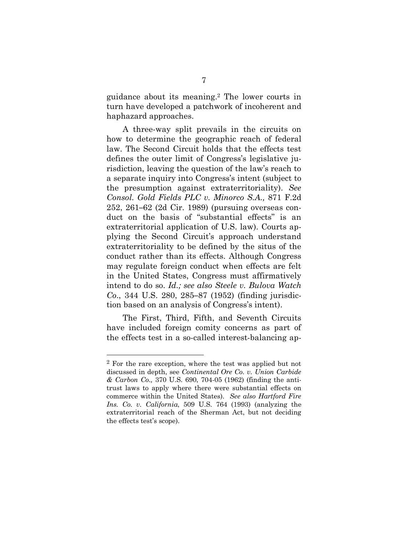guidance about its meaning.2 The lower courts in turn have developed a patchwork of incoherent and haphazard approaches.

A three-way split prevails in the circuits on how to determine the geographic reach of federal law. The Second Circuit holds that the effects test defines the outer limit of Congress's legislative jurisdiction, leaving the question of the law's reach to a separate inquiry into Congress's intent (subject to the presumption against extraterritoriality). See Consol. Gold Fields PLC v. Minorco S.A., 871 F.2d 252, 261–62 (2d Cir. 1989) (pursuing overseas conduct on the basis of "substantial effects" is an extraterritorial application of U.S. law). Courts applying the Second Circuit's approach understand extraterritoriality to be defined by the situs of the conduct rather than its effects. Although Congress may regulate foreign conduct when effects are felt in the United States, Congress must affirmatively intend to do so. Id.; see also Steele v. Bulova Watch Co., 344 U.S. 280, 285–87 (1952) (finding jurisdiction based on an analysis of Congress's intent).

The First, Third, Fifth, and Seventh Circuits have included foreign comity concerns as part of the effects test in a so-called interest-balancing ap-

<sup>&</sup>lt;sup>2</sup> For the rare exception, where the test was applied but not discussed in depth, see Continental Ore Co. v. Union Carbide & Carbon Co., 370 U.S. 690, 704-05 (1962) (finding the antitrust laws to apply where there were substantial effects on commerce within the United States). See also Hartford Fire Ins. Co. v. California, 509 U.S. 764 (1993) (analyzing the extraterritorial reach of the Sherman Act, but not deciding the effects test's scope).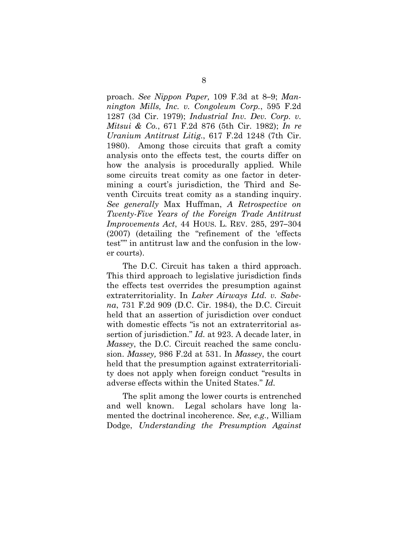proach. See Nippon Paper, 109 F.3d at 8–9; Mannington Mills, Inc. v. Congoleum Corp., 595 F.2d 1287 (3d Cir. 1979); Industrial Inv. Dev. Corp. v. Mitsui & Co., 671 F.2d 876 (5th Cir. 1982); In re Uranium Antitrust Litig., 617 F.2d 1248 (7th Cir. 1980). Among those circuits that graft a comity analysis onto the effects test, the courts differ on how the analysis is procedurally applied. While some circuits treat comity as one factor in determining a court's jurisdiction, the Third and Seventh Circuits treat comity as a standing inquiry. See generally Max Huffman, A Retrospective on Twenty-Five Years of the Foreign Trade Antitrust Improvements Act, 44 HOUS. L. REV. 285, 297–304 (2007) (detailing the "refinement of the 'effects test''" in antitrust law and the confusion in the lower courts).

The D.C. Circuit has taken a third approach. This third approach to legislative jurisdiction finds the effects test overrides the presumption against extraterritoriality. In Laker Airways Ltd. v. Sabena, 731 F.2d 909 (D.C. Cir. 1984), the D.C. Circuit held that an assertion of jurisdiction over conduct with domestic effects "is not an extraterritorial assertion of jurisdiction." Id. at 923. A decade later, in Massey, the D.C. Circuit reached the same conclusion. Massey, 986 F.2d at 531. In Massey, the court held that the presumption against extraterritoriality does not apply when foreign conduct "results in adverse effects within the United States." Id.

The split among the lower courts is entrenched and well known. Legal scholars have long lamented the doctrinal incoherence. See, e.g., William Dodge, Understanding the Presumption Against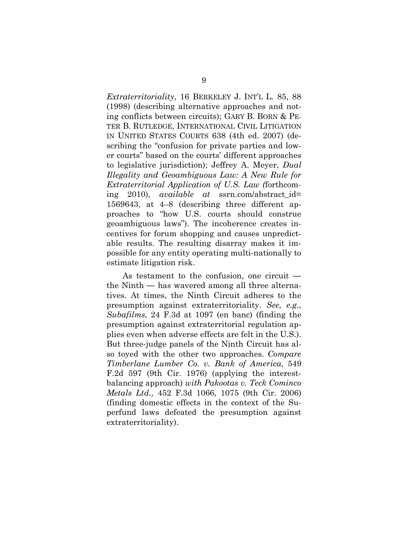Extraterritoriality, 16 BERKELEY J. INT'L L. 85, 88 (1998) (describing alternative approaches and noting conflicts between circuits); GARY B. BORN & PE-TER B. RUTLEDGE, INTERNATIONAL CIVIL LITIGATION IN UNITED STATES COURTS 638 (4th ed. 2007) (describing the "confusion for private parties and lower courts" based on the courts' different approaches to legislative jurisdiction); Jeffrey A. Meyer, Dual Illegality and Geoambiguous Law: A New Rule for Extraterritorial Application of U.S. Law (forthcoming 2010), available at ssrn.com/abstract\_id= 1569643, at 4–8 (describing three different approaches to "how U.S. courts should construe geoambiguous laws"). The incoherence creates incentives for forum shopping and causes unpredictable results. The resulting disarray makes it impossible for any entity operating multi-nationally to estimate litigation risk.

As testament to the confusion, one circuit the Ninth — has wavered among all three alternatives. At times, the Ninth Circuit adheres to the presumption against extraterritoriality. See, e.g., Subafilms, 24 F.3d at 1097 (en banc) (finding the presumption against extraterritorial regulation applies even when adverse effects are felt in the U.S.). But three-judge panels of the Ninth Circuit has also toyed with the other two approaches. Compare Timberlane Lumber Co. v. Bank of America, 549 F.2d 597 (9th Cir. 1976) (applying the interestbalancing approach) with Pakootas v. Teck Cominco Metals Ltd., 452 F.3d 1066, 1075 (9th Cir. 2006) (finding domestic effects in the context of the Superfund laws defeated the presumption against extraterritoriality).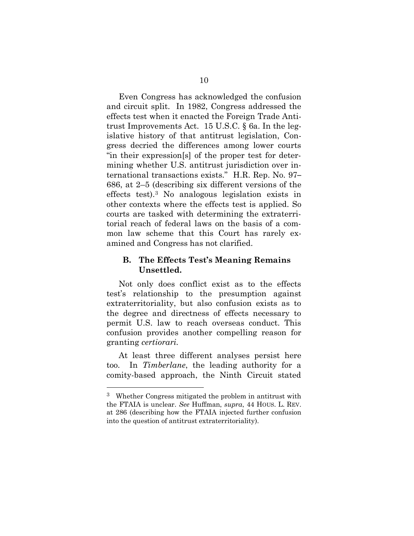Even Congress has acknowledged the confusion and circuit split. In 1982, Congress addressed the effects test when it enacted the Foreign Trade Antitrust Improvements Act. 15 U.S.C. § 6a. In the legislative history of that antitrust legislation, Congress decried the differences among lower courts "in their expression[s] of the proper test for determining whether U.S. antitrust jurisdiction over international transactions exists." H.R. Rep. No. 97– 686, at 2–5 (describing six different versions of the effects test).3 No analogous legislation exists in other contexts where the effects test is applied. So courts are tasked with determining the extraterritorial reach of federal laws on the basis of a common law scheme that this Court has rarely examined and Congress has not clarified.

#### B. The Effects Test's Meaning Remains Unsettled.

Not only does conflict exist as to the effects test's relationship to the presumption against extraterritoriality, but also confusion exists as to the degree and directness of effects necessary to permit U.S. law to reach overseas conduct. This confusion provides another compelling reason for granting certiorari.

At least three different analyses persist here too. In Timberlane, the leading authority for a comity-based approach, the Ninth Circuit stated

<sup>3</sup> Whether Congress mitigated the problem in antitrust with the FTAIA is unclear. See Huffman, supra, 44 HOUS. L. REV. at 286 (describing how the FTAIA injected further confusion into the question of antitrust extraterritoriality).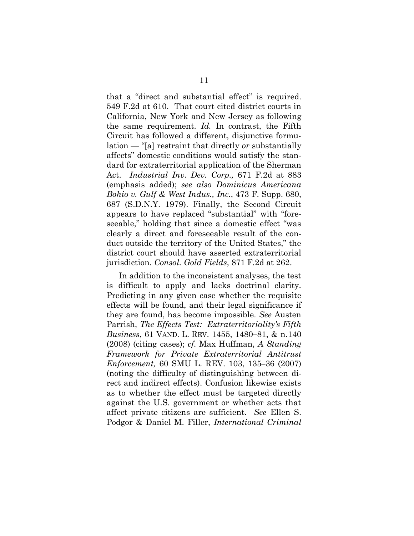that a "direct and substantial effect" is required. 549 F.2d at 610. That court cited district courts in California, New York and New Jersey as following the same requirement. Id. In contrast, the Fifth Circuit has followed a different, disjunctive formulation — "[a] restraint that directly or substantially affects" domestic conditions would satisfy the standard for extraterritorial application of the Sherman Act. Industrial Inv. Dev. Corp., 671 F.2d at 883 (emphasis added); see also Dominicus Americana Bohio v. Gulf & West Indus., Inc., 473 F. Supp. 680, 687 (S.D.N.Y. 1979). Finally, the Second Circuit appears to have replaced "substantial" with "foreseeable," holding that since a domestic effect "was clearly a direct and foreseeable result of the conduct outside the territory of the United States," the district court should have asserted extraterritorial jurisdiction. Consol. Gold Fields, 871 F.2d at 262.

In addition to the inconsistent analyses, the test is difficult to apply and lacks doctrinal clarity. Predicting in any given case whether the requisite effects will be found, and their legal significance if they are found, has become impossible. See Austen Parrish, The Effects Test: Extraterritoriality's Fifth Business, 61 VAND. L. REV. 1455, 1480–81, & n.140 (2008) (citing cases); cf. Max Huffman, A Standing Framework for Private Extraterritorial Antitrust Enforcement, 60 SMU L. REV. 103, 135–36 (2007) (noting the difficulty of distinguishing between direct and indirect effects). Confusion likewise exists as to whether the effect must be targeted directly against the U.S. government or whether acts that affect private citizens are sufficient. See Ellen S. Podgor & Daniel M. Filler, International Criminal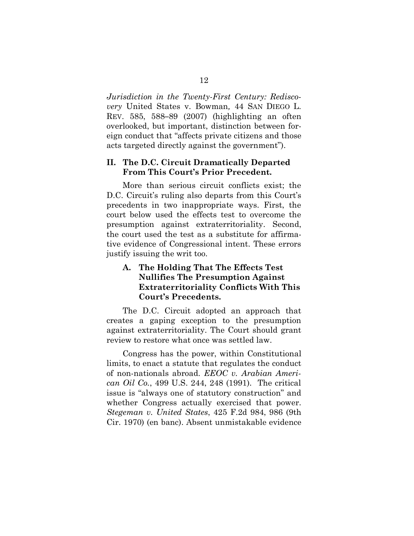Jurisdiction in the Twenty-First Century: Rediscovery United States v. Bowman, 44 SAN DIEGO L. REV. 585, 588–89 (2007) (highlighting an often overlooked, but important, distinction between foreign conduct that "affects private citizens and those acts targeted directly against the government").

#### II. The D.C. Circuit Dramatically Departed From This Court's Prior Precedent.

More than serious circuit conflicts exist; the D.C. Circuit's ruling also departs from this Court's precedents in two inappropriate ways. First, the court below used the effects test to overcome the presumption against extraterritoriality. Second, the court used the test as a substitute for affirmative evidence of Congressional intent. These errors justify issuing the writ too.

## A. The Holding That The Effects Test Nullifies The Presumption Against Extraterritoriality Conflicts With This Court's Precedents.

The D.C. Circuit adopted an approach that creates a gaping exception to the presumption against extraterritoriality. The Court should grant review to restore what once was settled law.

Congress has the power, within Constitutional limits, to enact a statute that regulates the conduct of non-nationals abroad. EEOC v. Arabian American Oil Co., 499 U.S. 244, 248 (1991). The critical issue is "always one of statutory construction" and whether Congress actually exercised that power. Stegeman v. United States, 425 F.2d 984, 986 (9th Cir. 1970) (en banc). Absent unmistakable evidence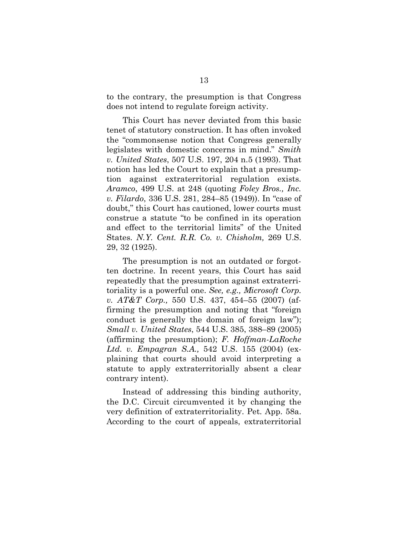to the contrary, the presumption is that Congress does not intend to regulate foreign activity.

This Court has never deviated from this basic tenet of statutory construction. It has often invoked the "commonsense notion that Congress generally legislates with domestic concerns in mind." Smith v. United States, 507 U.S. 197, 204 n.5 (1993). That notion has led the Court to explain that a presumption against extraterritorial regulation exists. Aramco, 499 U.S. at 248 (quoting Foley Bros., Inc. v. Filardo, 336 U.S. 281, 284–85 (1949)). In "case of doubt," this Court has cautioned, lower courts must construe a statute "to be confined in its operation and effect to the territorial limits" of the United States. N.Y. Cent. R.R. Co. v. Chisholm, 269 U.S. 29, 32 (1925).

The presumption is not an outdated or forgotten doctrine. In recent years, this Court has said repeatedly that the presumption against extraterritoriality is a powerful one. See, e.g., Microsoft Corp. v. AT&T Corp., 550 U.S. 437, 454–55 (2007) (affirming the presumption and noting that "foreign conduct is generally the domain of foreign law"); Small v. United States, 544 U.S. 385, 388–89 (2005) (affirming the presumption);  $F.$  Hoffman-LaRoche Ltd. v. Empagran S.A., 542 U.S. 155 (2004) (explaining that courts should avoid interpreting a statute to apply extraterritorially absent a clear contrary intent).

Instead of addressing this binding authority, the D.C. Circuit circumvented it by changing the very definition of extraterritoriality. Pet. App. 58a. According to the court of appeals, extraterritorial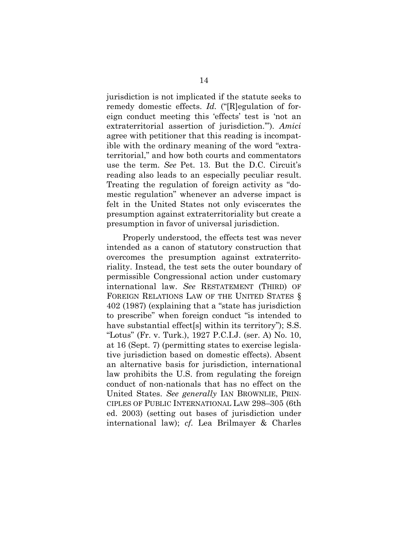jurisdiction is not implicated if the statute seeks to remedy domestic effects. Id. ("[R]egulation of foreign conduct meeting this 'effects' test is 'not an extraterritorial assertion of jurisdiction.'"). Amici agree with petitioner that this reading is incompatible with the ordinary meaning of the word "extraterritorial," and how both courts and commentators use the term. See Pet. 13. But the D.C. Circuit's reading also leads to an especially peculiar result. Treating the regulation of foreign activity as "domestic regulation" whenever an adverse impact is felt in the United States not only eviscerates the presumption against extraterritoriality but create a presumption in favor of universal jurisdiction.

Properly understood, the effects test was never intended as a canon of statutory construction that overcomes the presumption against extraterritoriality. Instead, the test sets the outer boundary of permissible Congressional action under customary international law. See RESTATEMENT (THIRD) OF FOREIGN RELATIONS LAW OF THE UNITED STATES § 402 (1987) (explaining that a "state has jurisdiction to prescribe" when foreign conduct "is intended to have substantial effect [s] within its territory"; S.S. "Lotus" (Fr. v. Turk.), 1927 P.C.I.J. (ser. A) No. 10, at 16 (Sept. 7) (permitting states to exercise legislative jurisdiction based on domestic effects). Absent an alternative basis for jurisdiction, international law prohibits the U.S. from regulating the foreign conduct of non-nationals that has no effect on the United States. See generally IAN BROWNLIE, PRIN-CIPLES OF PUBLIC INTERNATIONAL LAW 298–305 (6th ed. 2003) (setting out bases of jurisdiction under international law); cf. Lea Brilmayer & Charles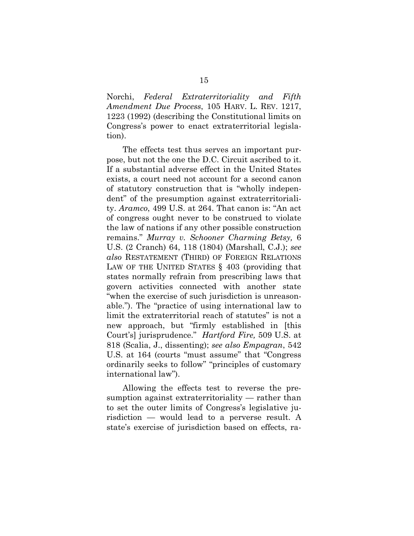Norchi, Federal Extraterritoriality and Fifth Amendment Due Process, 105 HARV. L. REV. 1217, 1223 (1992) (describing the Constitutional limits on Congress's power to enact extraterritorial legislation).

The effects test thus serves an important purpose, but not the one the D.C. Circuit ascribed to it. If a substantial adverse effect in the United States exists, a court need not account for a second canon of statutory construction that is "wholly independent" of the presumption against extraterritoriality. Aramco, 499 U.S. at 264. That canon is: "An act of congress ought never to be construed to violate the law of nations if any other possible construction remains." Murray v. Schooner Charming Betsy, 6 U.S. (2 Cranch) 64, 118 (1804) (Marshall, C.J.); see also RESTATEMENT (THIRD) OF FOREIGN RELATIONS LAW OF THE UNITED STATES § 403 (providing that states normally refrain from prescribing laws that govern activities connected with another state "when the exercise of such jurisdiction is unreasonable."). The "practice of using international law to limit the extraterritorial reach of statutes" is not a new approach, but "firmly established in [this Court's] jurisprudence." Hartford Fire, 509 U.S. at 818 (Scalia, J., dissenting); see also Empagran, 542 U.S. at 164 (courts "must assume" that "Congress ordinarily seeks to follow" "principles of customary international law").

Allowing the effects test to reverse the presumption against extraterritoriality — rather than to set the outer limits of Congress's legislative jurisdiction — would lead to a perverse result. A state's exercise of jurisdiction based on effects, ra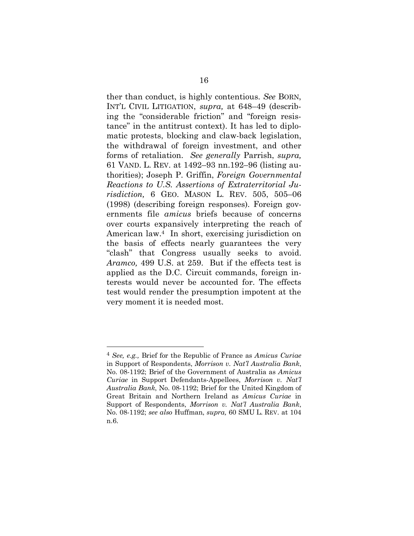ther than conduct, is highly contentious. See BORN, INT'L CIVIL LITIGATION, supra, at 648–49 (describing the "considerable friction" and "foreign resistance" in the antitrust context). It has led to diplomatic protests, blocking and claw-back legislation, the withdrawal of foreign investment, and other forms of retaliation. See generally Parrish, supra, 61 VAND. L. REV. at 1492–93 nn.192–96 (listing authorities); Joseph P. Griffin, Foreign Governmental Reactions to U.S. Assertions of Extraterritorial Jurisdiction, 6 GEO. MASON L. REV. 505, 505–06 (1998) (describing foreign responses). Foreign governments file amicus briefs because of concerns over courts expansively interpreting the reach of American law.4 In short, exercising jurisdiction on the basis of effects nearly guarantees the very "clash" that Congress usually seeks to avoid. Aramco, 499 U.S. at 259. But if the effects test is applied as the D.C. Circuit commands, foreign interests would never be accounted for. The effects test would render the presumption impotent at the very moment it is needed most.

<sup>4</sup> See, e.g., Brief for the Republic of France as Amicus Curiae in Support of Respondents, Morrison v. Nat'l Australia Bank, No. 08-1192; Brief of the Government of Australia as Amicus Curiae in Support Defendants-Appellees, Morrison v. Nat'l Australia Bank, No. 08-1192; Brief for the United Kingdom of Great Britain and Northern Ireland as Amicus Curiae in Support of Respondents, Morrison v. Nat'l Australia Bank, No. 08-1192; see also Huffman, supra, 60 SMU L. REV. at 104 n.6.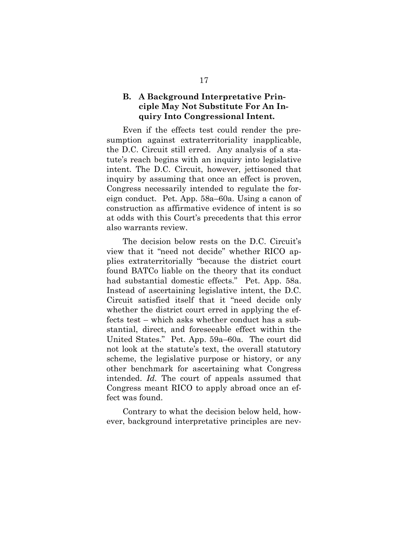## B. A Background Interpretative Principle May Not Substitute For An Inquiry Into Congressional Intent.

Even if the effects test could render the presumption against extraterritoriality inapplicable, the D.C. Circuit still erred. Any analysis of a statute's reach begins with an inquiry into legislative intent. The D.C. Circuit, however, jettisoned that inquiry by assuming that once an effect is proven, Congress necessarily intended to regulate the foreign conduct. Pet. App. 58a–60a. Using a canon of construction as affirmative evidence of intent is so at odds with this Court's precedents that this error also warrants review.

The decision below rests on the D.C. Circuit's view that it "need not decide" whether RICO applies extraterritorially "because the district court found BATCo liable on the theory that its conduct had substantial domestic effects." Pet. App. 58a. Instead of ascertaining legislative intent, the D.C. Circuit satisfied itself that it "need decide only whether the district court erred in applying the effects test – which asks whether conduct has a substantial, direct, and foreseeable effect within the United States." Pet. App. 59a–60a. The court did not look at the statute's text, the overall statutory scheme, the legislative purpose or history, or any other benchmark for ascertaining what Congress intended. Id. The court of appeals assumed that Congress meant RICO to apply abroad once an effect was found.

Contrary to what the decision below held, however, background interpretative principles are nev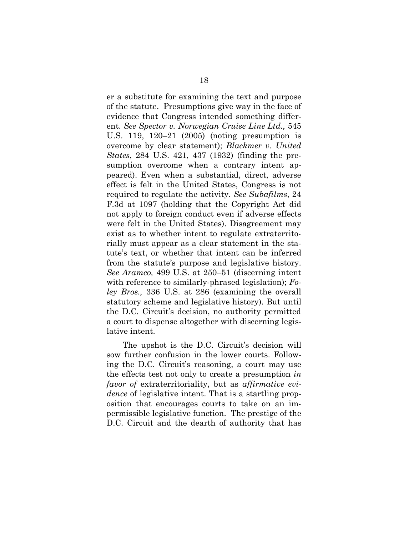er a substitute for examining the text and purpose of the statute. Presumptions give way in the face of evidence that Congress intended something different. See Spector v. Norwegian Cruise Line Ltd., 545 U.S. 119, 120–21 (2005) (noting presumption is overcome by clear statement); Blackmer v. United States, 284 U.S. 421, 437 (1932) (finding the presumption overcome when a contrary intent appeared). Even when a substantial, direct, adverse effect is felt in the United States, Congress is not required to regulate the activity. See Subafilms, 24 F.3d at 1097 (holding that the Copyright Act did not apply to foreign conduct even if adverse effects were felt in the United States). Disagreement may exist as to whether intent to regulate extraterritorially must appear as a clear statement in the statute's text, or whether that intent can be inferred from the statute's purpose and legislative history. See Aramco, 499 U.S. at 250–51 (discerning intent with reference to similarly-phrased legislation); Foley Bros., 336 U.S. at 286 (examining the overall statutory scheme and legislative history). But until the D.C. Circuit's decision, no authority permitted a court to dispense altogether with discerning legislative intent.

The upshot is the D.C. Circuit's decision will sow further confusion in the lower courts. Following the D.C. Circuit's reasoning, a court may use the effects test not only to create a presumption in favor of extraterritoriality, but as *affirmative evi*dence of legislative intent. That is a startling proposition that encourages courts to take on an impermissible legislative function. The prestige of the D.C. Circuit and the dearth of authority that has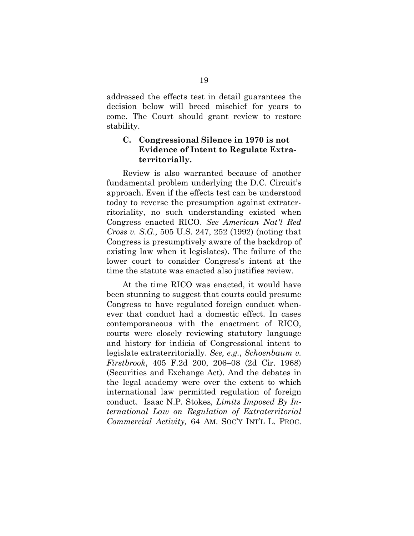addressed the effects test in detail guarantees the decision below will breed mischief for years to come. The Court should grant review to restore stability.

## C. Congressional Silence in 1970 is not Evidence of Intent to Regulate Extraterritorially.

Review is also warranted because of another fundamental problem underlying the D.C. Circuit's approach. Even if the effects test can be understood today to reverse the presumption against extraterritoriality, no such understanding existed when Congress enacted RICO. See American Nat'l Red Cross v. S.G., 505 U.S. 247, 252 (1992) (noting that Congress is presumptively aware of the backdrop of existing law when it legislates). The failure of the lower court to consider Congress's intent at the time the statute was enacted also justifies review.

At the time RICO was enacted, it would have been stunning to suggest that courts could presume Congress to have regulated foreign conduct whenever that conduct had a domestic effect. In cases contemporaneous with the enactment of RICO, courts were closely reviewing statutory language and history for indicia of Congressional intent to legislate extraterritorially. See, e.g., Schoenbaum v. Firstbrook, 405 F.2d 200, 206–08 (2d Cir. 1968) (Securities and Exchange Act). And the debates in the legal academy were over the extent to which international law permitted regulation of foreign conduct. Isaac N.P. Stokes, Limits Imposed By International Law on Regulation of Extraterritorial Commercial Activity, 64 AM. SOC'Y INT'L L. PROC.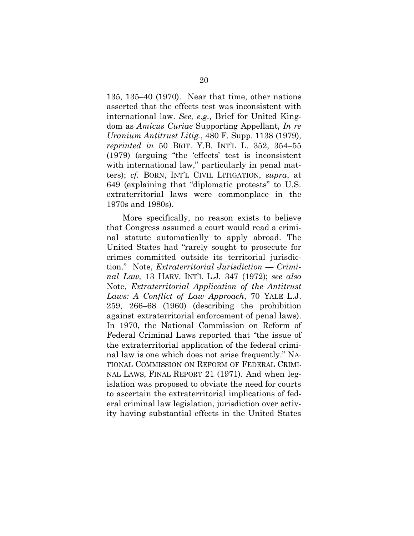135, 135–40 (1970). Near that time, other nations asserted that the effects test was inconsistent with international law. See, e.g., Brief for United Kingdom as Amicus Curiae Supporting Appellant, In re Uranium Antitrust Litig., 480 F. Supp. 1138 (1979), reprinted in 50 BRIT. Y.B. INT'L L. 352, 354–55 (1979) (arguing "the 'effects' test is inconsistent with international law," particularly in penal matters); cf. BORN, INT'L CIVIL LITIGATION, supra, at 649 (explaining that "diplomatic protests" to U.S. extraterritorial laws were commonplace in the 1970s and 1980s).

More specifically, no reason exists to believe that Congress assumed a court would read a criminal statute automatically to apply abroad. The United States had "rarely sought to prosecute for crimes committed outside its territorial jurisdiction." Note, Extraterritorial Jurisdiction — Criminal Law, 13 HARV. INT'L L.J. 347 (1972); see also Note, Extraterritorial Application of the Antitrust Laws: A Conflict of Law Approach, 70 YALE L.J. 259, 266–68 (1960) (describing the prohibition against extraterritorial enforcement of penal laws). In 1970, the National Commission on Reform of Federal Criminal Laws reported that "the issue of the extraterritorial application of the federal criminal law is one which does not arise frequently." NA-TIONAL COMMISSION ON REFORM OF FEDERAL CRIMI-NAL LAWS, FINAL REPORT 21 (1971). And when legislation was proposed to obviate the need for courts to ascertain the extraterritorial implications of federal criminal law legislation, jurisdiction over activity having substantial effects in the United States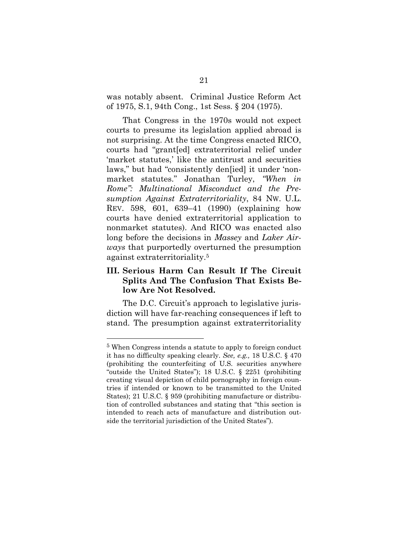was notably absent. Criminal Justice Reform Act of 1975, S.1, 94th Cong., 1st Sess. § 204 (1975).

That Congress in the 1970s would not expect courts to presume its legislation applied abroad is not surprising. At the time Congress enacted RICO, courts had "grant[ed] extraterritorial relief under 'market statutes,' like the antitrust and securities laws," but had "consistently den[ied] it under 'nonmarket statutes." Jonathan Turley, "When in Rome": Multinational Misconduct and the Presumption Against Extraterritoriality, 84 NW. U.L. REV. 598, 601, 639–41 (1990) (explaining how courts have denied extraterritorial application to nonmarket statutes). And RICO was enacted also long before the decisions in *Massey* and *Laker Air*ways that purportedly overturned the presumption against extraterritoriality.<sup>5</sup>

## III. Serious Harm Can Result If The Circuit Splits And The Confusion That Exists Below Are Not Resolved.

The D.C. Circuit's approach to legislative jurisdiction will have far-reaching consequences if left to stand. The presumption against extraterritoriality

<sup>5</sup> When Congress intends a statute to apply to foreign conduct it has no difficulty speaking clearly. See, e.g., 18 U.S.C. § 470 (prohibiting the counterfeiting of U.S. securities anywhere "outside the United States"); 18 U.S.C. § 2251 (prohibiting creating visual depiction of child pornography in foreign countries if intended or known to be transmitted to the United States); 21 U.S.C. § 959 (prohibiting manufacture or distribution of controlled substances and stating that "this section is intended to reach acts of manufacture and distribution outside the territorial jurisdiction of the United States").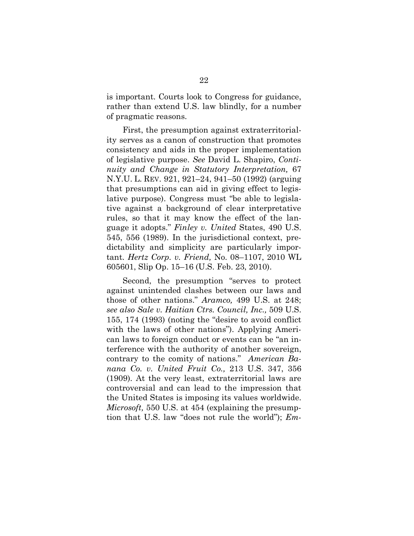is important. Courts look to Congress for guidance, rather than extend U.S. law blindly, for a number of pragmatic reasons.

First, the presumption against extraterritoriality serves as a canon of construction that promotes consistency and aids in the proper implementation of legislative purpose. See David L. Shapiro, Continuity and Change in Statutory Interpretation, 67 N.Y.U. L. REV. 921, 921–24, 941–50 (1992) (arguing that presumptions can aid in giving effect to legislative purpose). Congress must "be able to legislative against a background of clear interpretative rules, so that it may know the effect of the language it adopts." Finley v. United States, 490 U.S. 545, 556 (1989). In the jurisdictional context, predictability and simplicity are particularly important. Hertz Corp. v. Friend, No. 08–1107, 2010 WL 605601, Slip Op. 15–16 (U.S. Feb. 23, 2010).

Second, the presumption "serves to protect against unintended clashes between our laws and those of other nations." Aramco, 499 U.S. at 248; see also Sale v. Haitian Ctrs. Council, Inc., 509 U.S. 155, 174 (1993) (noting the "desire to avoid conflict with the laws of other nations"). Applying American laws to foreign conduct or events can be "an interference with the authority of another sovereign, contrary to the comity of nations." American Banana Co. v. United Fruit Co., 213 U.S. 347, 356 (1909). At the very least, extraterritorial laws are controversial and can lead to the impression that the United States is imposing its values worldwide. Microsoft, 550 U.S. at 454 (explaining the presumption that U.S. law "does not rule the world"); Em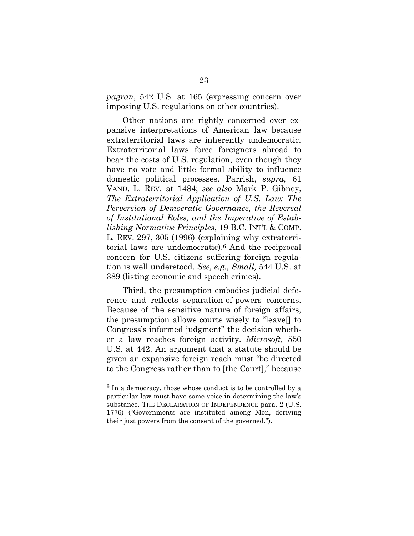pagran, 542 U.S. at 165 (expressing concern over imposing U.S. regulations on other countries).

Other nations are rightly concerned over expansive interpretations of American law because extraterritorial laws are inherently undemocratic. Extraterritorial laws force foreigners abroad to bear the costs of U.S. regulation, even though they have no vote and little formal ability to influence domestic political processes. Parrish, supra, 61 VAND. L. REV. at 1484; see also Mark P. Gibney, The Extraterritorial Application of U.S. Law: The Perversion of Democratic Governance, the Reversal of Institutional Roles, and the Imperative of Establishing Normative Principles, 19 B.C. INT'L & COMP. L. REV. 297, 305 (1996) (explaining why extraterritorial laws are undemocratic).6 And the reciprocal concern for U.S. citizens suffering foreign regulation is well understood. See, e.g., Small, 544 U.S. at 389 (listing economic and speech crimes).

Third, the presumption embodies judicial deference and reflects separation-of-powers concerns. Because of the sensitive nature of foreign affairs, the presumption allows courts wisely to "leave[] to Congress's informed judgment" the decision whether a law reaches foreign activity. Microsoft, 550 U.S. at 442. An argument that a statute should be given an expansive foreign reach must "be directed to the Congress rather than to [the Court]," because

 $6$  In a democracy, those whose conduct is to be controlled by a particular law must have some voice in determining the law's substance. THE DECLARATION OF INDEPENDENCE para. 2 (U.S. 1776) ("Governments are instituted among Men, deriving their just powers from the consent of the governed.").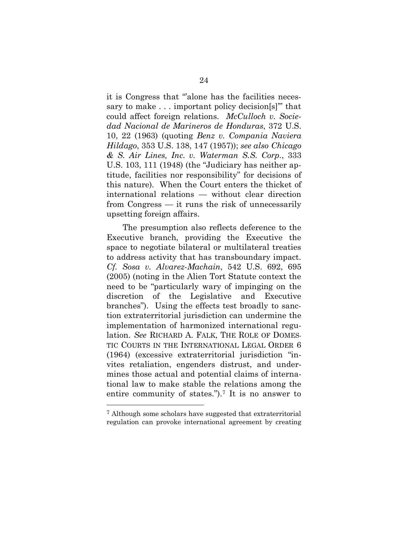it is Congress that "alone has the facilities necessary to make . . . important policy decision[s]'" that could affect foreign relations. McCulloch v. Sociedad Nacional de Marineros de Honduras, 372 U.S. 10, 22 (1963) (quoting Benz v. Compania Naviera Hildago, 353 U.S. 138, 147 (1957)); see also Chicago & S. Air Lines, Inc. v. Waterman S.S. Corp., 333 U.S. 103, 111 (1948) (the "Judiciary has neither aptitude, facilities nor responsibility" for decisions of this nature). When the Court enters the thicket of international relations — without clear direction from Congress — it runs the risk of unnecessarily upsetting foreign affairs.

The presumption also reflects deference to the Executive branch, providing the Executive the space to negotiate bilateral or multilateral treaties to address activity that has transboundary impact. Cf. Sosa v. Alvarez-Machain, 542 U.S. 692, 695 (2005) (noting in the Alien Tort Statute context the need to be "particularly wary of impinging on the discretion of the Legislative and Executive branches"). Using the effects test broadly to sanction extraterritorial jurisdiction can undermine the implementation of harmonized international regulation. See RICHARD A. FALK, THE ROLE OF DOMES-TIC COURTS IN THE INTERNATIONAL LEGAL ORDER 6 (1964) (excessive extraterritorial jurisdiction "invites retaliation, engenders distrust, and undermines those actual and potential claims of international law to make stable the relations among the entire community of states.").7 It is no answer to

<sup>7</sup> Although some scholars have suggested that extraterritorial regulation can provoke international agreement by creating